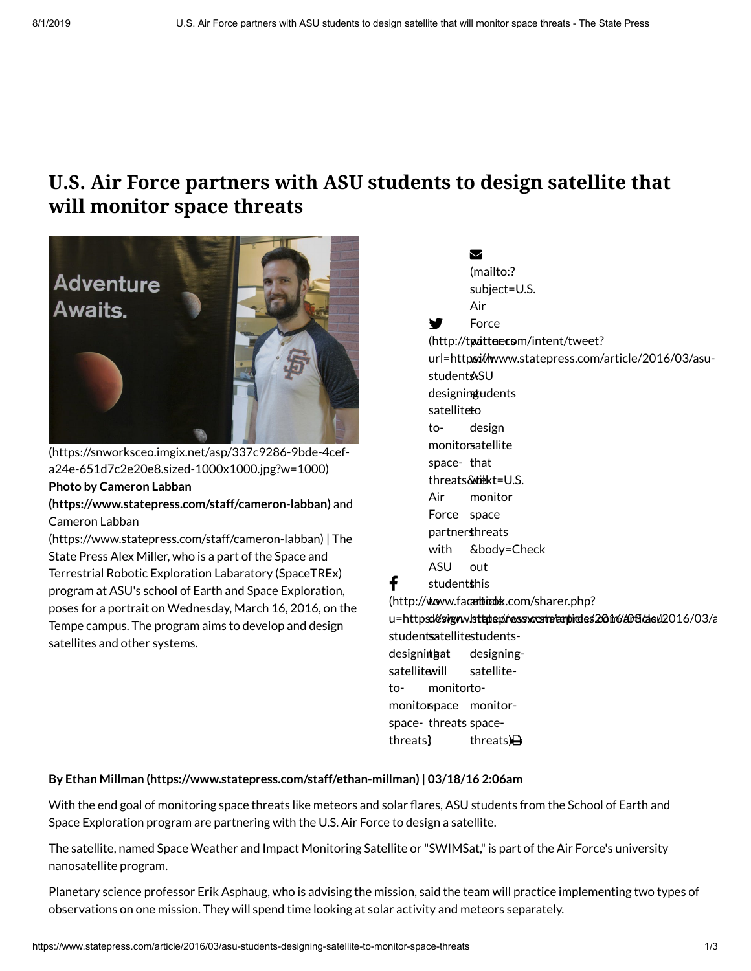# **U.S. Air Force partners with ASU students to design satellite that will monitor space threats**



[\(https://snworksceo.imgix.net/asp/337c9286-9bde-4cef](https://snworksceo.imgix.net/asp/337c9286-9bde-4cef-a24e-651d7c2e20e8.sized-1000x1000.jpg?w=1000)a24e-651d7c2e20e8.sized-1000x1000.jpg?w=1000) **Photo by Cameron Labban**

**[\(https://www.statepress.com/staff/cameron-labban\)](https://www.statepress.com/staff/cameron-labban)** and Cameron Labban

[\(https://www.statepress.com/staff/cameron-labban\)](https://www.statepress.com/staff/cameron-labban) | The State Press Alex Miller, who is a part of the Space and Terrestrial Robotic Exploration Labaratory (SpaceTREx) program at ASU's school of Earth and Space Exploration, poses for a portrait on Wednesday, March 16, 2016, on the Tempe campus. The program aims to develop and design satellites and other systems.

### $\blacktriangledown$

(mailto:? subject=U.S.

Air

y Force

(http://tpatter.com/intent/tweet? url=httpsithwww.statepress.com/article/2016/03/asustudent**A**SU designingudents satellite<del>t</del>o tomonitorsatellite space-that threats&titkt=U.S. Air Force space partners threats with ASU design monitor &body=Check out

f student**s**his

(http://www.facambiodok.com/sharer.php?

u=https://esvignw./sttatep//wess.socatra/tarpirdes/2011f/d0t3/dev/2016/03/a studentsatellitestudentsdesignint gat satellitewill tomonitorspace monitorspace-threats spacethreats) ) monitor todesigningsatellitethreats) $\bigoplus$ 

#### **By Ethan Millman [\(https://www.statepress.com/staff/ethan-millman\)](https://www.statepress.com/staff/ethan-millman) | 03/18/16 2:06am**

With the end goal of monitoring space threats like meteors and solar flares, ASU students from the School of Earth and Space Exploration program are partnering with the U.S. Air Force to design a satellite.

The satellite, named Space Weather and Impact Monitoring Satellite or "SWIMSat,"is part of the Air Force's university nanosatellite program.

Planetary science professor Erik Asphaug, who is advising the mission, said the team will practice implementing two types of observations on one mission. They will spend time looking at solar activity and meteors separately.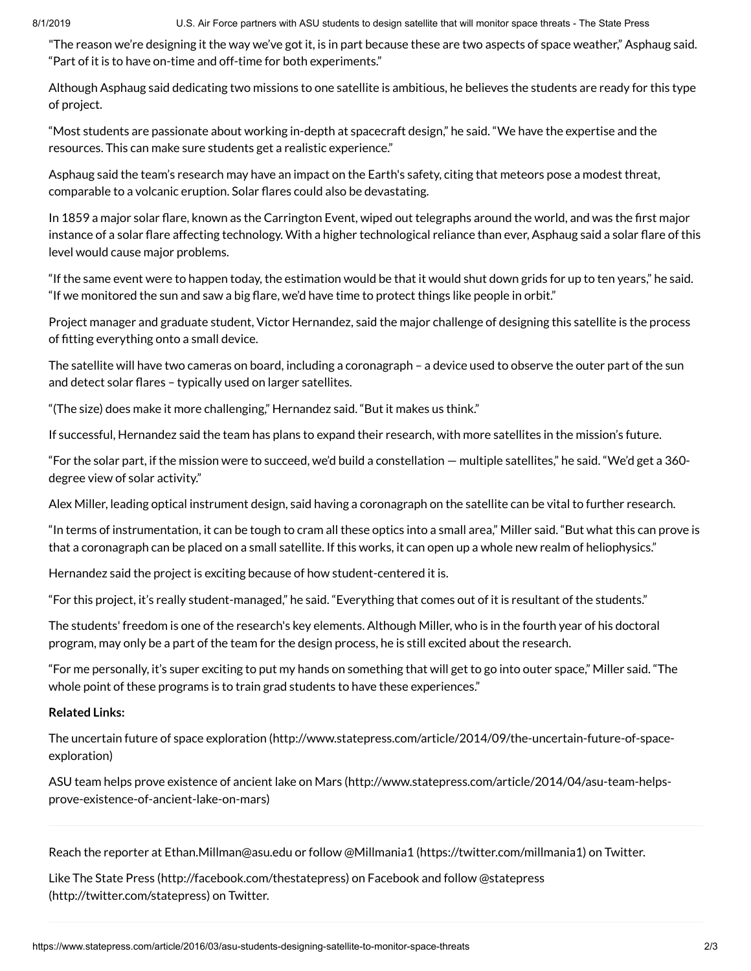8/1/2019 U.S. Air Force partners with ASU students to design satellite that will monitor space threats - The State Press

"The reason we're designing it the way we've got it, is in part because these are two aspects of space weather," Asphaug said. "Part of it is to have on-time and off-time for both experiments."

Although Asphaug said dedicating two missions to one satellite is ambitious, he believes the students are ready for this type of project.

"Most students are passionate about working in-depth at spacecraft design," he said. "We have the expertise and the resources. This can make sure students get a realistic experience."

Asphaug said the team's research may have an impact on the Earth's safety, citing that meteors pose a modest threat, comparable to a volcanic eruption. Solar flares could also be devastating.

In 1859 a major solar flare, known as the Carrington Event, wiped out telegraphs around the world, and was the first major instance of a solar flare affecting technology. With a higher technological reliance than ever, Asphaug said a solar flare of this level would cause major problems.

"If the same event were to happen today, the estimation would be that it would shut down grids for up to ten years," he said. "If we monitored the sun and saw a big flare, we'd have time to protect things like people in orbit."

Project manager and graduate student, Victor Hernandez, said the major challenge of designing this satellite is the process of fitting everything onto a small device.

The satellite will have two cameras on board, including a coronagraph – a device used to observe the outer part of the sun and detect solar flares - typically used on larger satellites.

"(The size) does make it more challenging," Hernandez said. "But it makes us think."

If successful, Hernandez said the team has plans to expand their research, with more satellites in the mission's future.

"For the solar part, if the mission were to succeed, we'd build a constellation — multiple satellites," he said. "We'd get a 360 degree view of solar activity."

Alex Miller, leading optical instrument design, said having a coronagraph on the satellite can be vital to further research.

"In terms of instrumentation, it can be tough to cram all these optics into a small area," Miller said. "But what this can prove is that a coronagraph can be placed on a small satellite. If this works, it can open up a whole new realm of heliophysics."

Hernandez said the project is exciting because of how student-centered it is.

"For this project, it's really student-managed," he said. "Everything that comes out of it is resultant of the students."

The students' freedom is one of the research's key elements. Although Miller, who is in the fourth year of his doctoral program, may only be a part of the team for the design process, he is still excited about the research.

"For me personally, it's super exciting to put my hands on something that will get to go into outer space," Miller said. "The whole point of these programs is to train grad students to have these experiences."

#### **Related Links:**

The uncertain future of space exploration [\(http://www.statepress.com/article/2014/09/the-uncertain-future-of-space](http://www.statepress.com/article/2014/09/the-uncertain-future-of-space-exploration)exploration)

ASU team helps prove existence of ancient lake on Mars [\(http://www.statepress.com/article/2014/04/asu-team-helps](http://www.statepress.com/article/2014/04/asu-team-helps-prove-existence-of-ancient-lake-on-mars)prove-existence-of-ancient-lake-on-mars)

Reach the reporter at Ethan.Millman@asu.edu or follow @Millmania1 [\(https://twitter.com/millmania1\)](https://twitter.com/millmania1) on Twitter.

Like The State Press [\(http://facebook.com/thestatepress](http://facebook.com/thestatepress)[\)](http://twitter.com/statepress) on Facebook and follow @statepress (http://twitter.com/statepress) on Twitter.